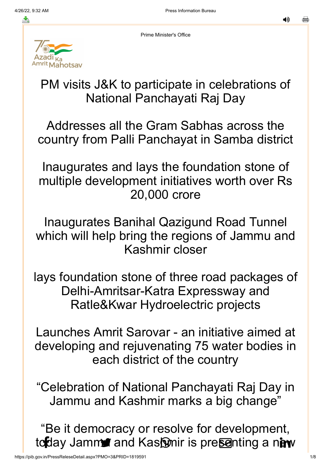◀»

스

Prime Minister's Office

# *Aahotsay*

## PM visits J&K to participate in celebrations of National Panchayati Raj Day

Addresses all the Gram Sabhas across the country from Palli Panchayat in Samba district

Inaugurates and lays the foundation stone of multiple development initiatives worth over Rs 20,000 crore

Inaugurates Banihal Qazigund Road Tunnel which will help bring the regions of Jammu and Kashmir closer

lays foundation stone of three road packages of Delhi-Amritsar-Katra Expressway and Ratle&Kwar Hydroelectric projects

Launches Amrit Sarovar - an initiative aimed at developing and rejuvenating 75 water bodies in each district of the country

"Celebration of National Panchayati Raj Day in Jammu and Kashmir marks a big change"

"Be it democracy or resolve for development, [today J](http://www.facebook.com/share.php?u=https://pib.gov.in/PressReleasePage.aspx?PRID=1819545)amma and [Kashmir is](https://api.whatsapp.com/send?text=https://pib.gov.in/PressReleasePage.aspx?PRID=1819545) [presenting](https://mail.google.com/mail/?view=cm&fs=1&tf=1&to=&su=PM%20visits%20J&K%20to%20participate%20in%20celebrations%20of%20National%20Panchayati%20Raj%20Day&body=https://pib.gov.in/PressReleasePage.aspx?PRID=1819545&ui=2&tf=1&pli=1) a nin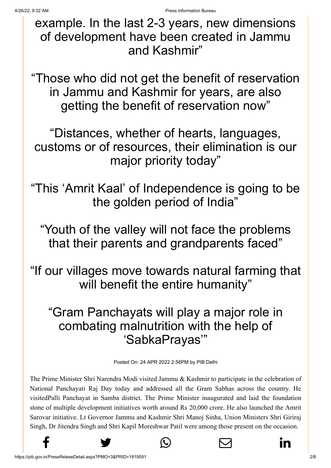[exampl](http://www.facebook.com/share.php?u=https://pib.gov.in/PressReleasePage.aspx?PRID=1819545)[e. In the la](https://twitter.com/intent/tweet?url=https://pib.gov.in/PressReleasePage.aspx?PRID=1819545&text=PM%20visits%20J&K%20to%20participate%20in%20celebrations%20of%20National%20Panchayati%20Raj%20Day)[st 2-3 year](https://api.whatsapp.com/send?text=https://pib.gov.in/PressReleasePage.aspx?PRID=1819545)[s, new dim](https://mail.google.com/mail/?view=cm&fs=1&tf=1&to=&su=PM%20visits%20J&K%20to%20participate%20in%20celebrations%20of%20National%20Panchayati%20Raj%20Day&body=https://pib.gov.in/PressReleasePage.aspx?PRID=1819545&ui=2&tf=1&pli=1)[ensions](https://www.linkedin.com/shareArticle?mini=true&url=https://pib.gov.in/PressReleasePage.aspx?PRID=1819545&title=PM%20visits%20J&K%20to%20participate%20in%20celebrations%20of%20National%20Panchayati%20Raj%20Day&summary=My%20favorite%20developer%20program&source=LinkedIn) of development have been created in Jammu and Kashmir"

"Those who did not get the benefit of reservation in Jammu and Kashmir for years, are also getting the benefit of reservation now"

"Distances, whether of hearts, languages, customs or of resources, their elimination is our major priority today"

"This 'Amrit Kaal' of Independence is going to be the golden period of India"

"Youth of the valley will not face the problems that their parents and grandparents faced"

"If our villages move towards natural farming that will benefit the entire humanity"

## "Gram Panchayats will play a major role in combating malnutrition with the help of 'SabkaPrayas'"

Posted On: 24 APR 2022 2:56PM by PIB Delhi

The Prime Minister Shri Narendra Modi visited Jammu & Kashmir to participate in the celebration of National Panchayati Raj Day today and addressed all the Gram Sabhas across the country. He visitedPalli Panchayat in Samba district. The Prime Minister inaugurated and laid the foundation stone of multiple development initiatives worth around Rs 20,000 crore. He also launched the Amrit Sarovar initiative. Lt Governor Jammu and Kashmir Shri Manoj Sinha, Union Ministers Shri Giriraj Singh, Dr Jitendra Singh and Shri Kapil Moreshwar Patil were among those present on the occasion.



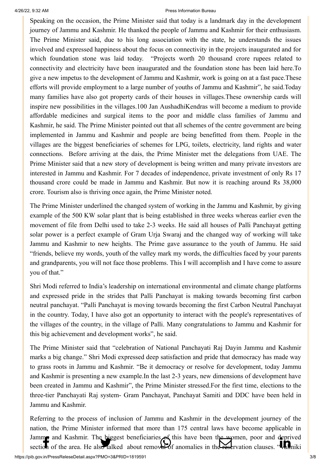### 4/26/22, 9:32 AM Press Information Bureau

[Speaking on the](http://www.facebook.com/share.php?u=https://pib.gov.in/PressReleasePage.aspx?PRID=1819545) [occasion, the Prime M](https://twitter.com/intent/tweet?url=https://pib.gov.in/PressReleasePage.aspx?PRID=1819545&text=PM%20visits%20J&K%20to%20participate%20in%20celebrations%20of%20National%20Panchayati%20Raj%20Day)[inister said that today](https://api.whatsapp.com/send?text=https://pib.gov.in/PressReleasePage.aspx?PRID=1819545) [is a landmark day in](https://mail.google.com/mail/?view=cm&fs=1&tf=1&to=&su=PM%20visits%20J&K%20to%20participate%20in%20celebrations%20of%20National%20Panchayati%20Raj%20Day&body=https://pib.gov.in/PressReleasePage.aspx?PRID=1819545&ui=2&tf=1&pli=1) [the development](https://www.linkedin.com/shareArticle?mini=true&url=https://pib.gov.in/PressReleasePage.aspx?PRID=1819545&title=PM%20visits%20J&K%20to%20participate%20in%20celebrations%20of%20National%20Panchayati%20Raj%20Day&summary=My%20favorite%20developer%20program&source=LinkedIn) journey of Jammu and Kashmir. He thanked the people of Jammu and Kashmir for their enthusiasm. The Prime Minister said, due to his long association with the state, he understands the issues involved and expressed happiness about the focus on connectivity in the projects inaugurated and for which foundation stone was laid today. "Projects worth 20 thousand crore rupees related to connectivity and electricity have been inaugurated and the foundation stone has been laid here.To give a new impetus to the development of Jammu and Kashmir, work is going on at a fast pace.These efforts will provide employment to a large number of youths of Jammu and Kashmir", he said.Today many families have also got property cards of their houses in villages.These ownership cards will inspire new possibilities in the villages.100 Jan AushadhiKendras will become a medium to provide affordable medicines and surgical items to the poor and middle class families of Jammu and Kashmir, he said. The Prime Minister pointed out that all schemes of the centre government are being implemented in Jammu and Kashmir and people are being benefitted from them. People in the villages are the biggest beneficiaries of schemes for LPG, toilets, electricity, land rights and water connections. Before arriving at the dais, the Prime Minister met the delegations from UAE. The Prime Minister said that a new story of development is being written and many private investors are interested in Jammu and Kashmir. For 7 decades of independence, private investment of only Rs 17 thousand crore could be made in Jammu and Kashmir. But now it is reaching around Rs 38,000 crore. Tourism also is thriving once again, the Prime Minister noted.

The Prime Minister underlined the changed system of working in the Jammu and Kashmir, by giving example of the 500 KW solar plant that is being established in three weeks whereas earlier even the movement of file from Delhi used to take 2-3 weeks. He said all houses of Palli Panchayat getting solar power is a perfect example of Gram Urja Swaraj and the changed way of working will take Jammu and Kashmir to new heights. The Prime gave assurance to the youth of Jammu. He said "friends, believe my words, youth of the valley mark my words, the difficulties faced by your parents and grandparents, you will not face those problems. This I will accomplish and I have come to assure you of that."

Shri Modi referred to India's leadership on international environmental and climate change platforms and expressed pride in the strides that Palli Panchayat is making towards becoming first carbon neutral panchayat. "Palli Panchayat is moving towards becoming the first Carbon Neutral Panchayat in the country. Today, I have also got an opportunity to interact with the people's representatives of the villages of the country, in the village of Palli. Many congratulations to Jammu and Kashmir for this big achievement and development works", he said.

The Prime Minister said that "celebration of National Panchayati Raj Dayin Jammu and Kashmir marks a big change." Shri Modi expressed deep satisfaction and pride that democracy has made way to grass roots in Jammu and Kashmir. "Be it democracy or resolve for development, today Jammu and Kashmir is presenting a new example.In the last 2-3 years, new dimensions of development have been created in Jammu and Kashmir", the Prime Minister stressed.For the first time, elections to the three-tier Panchayati Raj system- Gram Panchayat, Panchayat Samiti and DDC have been held in Jammu and Kashmir.

Referring to the process of inclusion of Jammu and Kashmir in the development journey of the nation, the Prime Minister informed that more than 175 central laws have become applicable in [Jammu and Kas](http://www.facebook.com/share.php?u=https://pib.gov.in/PressReleasePage.aspx?PRID=1819545)[hmir. The biggest ben](https://twitter.com/intent/tweet?url=https://pib.gov.in/PressReleasePage.aspx?PRID=1819545&text=PM%20visits%20J&K%20to%20participate%20in%20celebrations%20of%20National%20Panchayati%20Raj%20Day)[eficiaries of this have](https://api.whatsapp.com/send?text=https://pib.gov.in/PressReleasePage.aspx?PRID=1819545) [been the women, po](https://mail.google.com/mail/?view=cm&fs=1&tf=1&to=&su=PM%20visits%20J&K%20to%20participate%20in%20celebrations%20of%20National%20Panchayati%20Raj%20Day&body=https://pib.gov.in/PressReleasePage.aspx?PRID=1819545&ui=2&tf=1&pli=1)[or and deprived](https://www.linkedin.com/shareArticle?mini=true&url=https://pib.gov.in/PressReleasePage.aspx?PRID=1819545&title=PM%20visits%20J&K%20to%20participate%20in%20celebrations%20of%20National%20Panchayati%20Raj%20Day&summary=My%20favorite%20developer%20program&source=LinkedIn) section of the area. He also talked about removal of anomalies in the reservation clauses. "Valmiki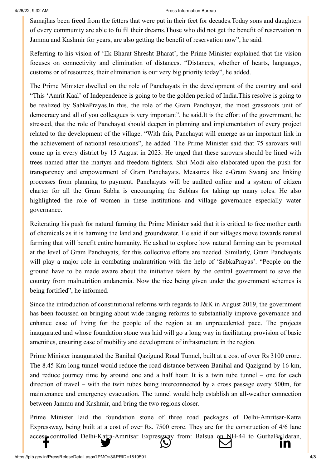#### 4/26/22, 9:32 AM Press Information Bureau

[Samajhas been fr](http://www.facebook.com/share.php?u=https://pib.gov.in/PressReleasePage.aspx?PRID=1819545)[eed from the fetters th](https://twitter.com/intent/tweet?url=https://pib.gov.in/PressReleasePage.aspx?PRID=1819545&text=PM%20visits%20J&K%20to%20participate%20in%20celebrations%20of%20National%20Panchayati%20Raj%20Day)[at were put in their fee](https://api.whatsapp.com/send?text=https://pib.gov.in/PressReleasePage.aspx?PRID=1819545)[t for decades.Today so](https://mail.google.com/mail/?view=cm&fs=1&tf=1&to=&su=PM%20visits%20J&K%20to%20participate%20in%20celebrations%20of%20National%20Panchayati%20Raj%20Day&body=https://pib.gov.in/PressReleasePage.aspx?PRID=1819545&ui=2&tf=1&pli=1)[ns and daughters](https://www.linkedin.com/shareArticle?mini=true&url=https://pib.gov.in/PressReleasePage.aspx?PRID=1819545&title=PM%20visits%20J&K%20to%20participate%20in%20celebrations%20of%20National%20Panchayati%20Raj%20Day&summary=My%20favorite%20developer%20program&source=LinkedIn) of every community are able to fulfil their dreams.Those who did not get the benefit of reservation in Jammu and Kashmir for years, are also getting the benefit of reservation now", he said.

Referring to his vision of 'Ek Bharat Shresht Bharat', the Prime Minister explained that the vision focuses on connectivity and elimination of distances. "Distances, whether of hearts, languages, customs or of resources, their elimination is our very big priority today", he added.

The Prime Minister dwelled on the role of Panchayats in the development of the country and said "This 'Amrit Kaal' of Independence is going to be the golden period of India.This resolve is going to be realized by SabkaPrayas.In this, the role of the Gram Panchayat, the most grassroots unit of democracy and all of you colleagues is very important", he said.It is the effort of the government, he stressed, that the role of Panchayat should deepen in planning and implementation of every project related to the development of the village. "With this, Panchayat will emerge as an important link in the achievement of national resolutions", he added. The Prime Minister said that 75 sarovars will come up in every district by 15 August in 2023. He urged that these sarovars should be lined with trees named after the martyrs and freedom fighters. Shri Modi also elaborated upon the push for transparency and empowerment of Gram Panchayats. Measures like e-Gram Swaraj are linking processes from planning to payment. Panchayats will be audited online and a system of citizen charter for all the Gram Sabha is encouraging the Sabhas for taking up many roles. He also highlighted the role of women in these institutions and village governance especially water governance.

Reiterating his push for natural farming the Prime Minister said that it is critical to free mother earth of chemicals as it is harming the land and groundwater. He said if our villages move towards natural farming that will benefit entire humanity. He asked to explore how natural farming can be promoted at the level of Gram Panchayats, for this collective efforts are needed. Similarly, Gram Panchayats will play a major role in combating malnutrition with the help of 'SabkaPrayas'. "People on the ground have to be made aware about the initiative taken by the central government to save the country from malnutrition andanemia. Now the rice being given under the government schemes is being fortified", he informed.

Since the introduction of constitutional reforms with regards to J&K in August 2019, the government has been focussed on bringing about wide ranging reforms to substantially improve governance and enhance ease of living for the people of the region at an unprecedented pace. The projects inaugurated and whose foundation stone was laid will go a long way in facilitating provision of basic amenities, ensuring ease of mobility and development of infrastructure in the region.

Prime Minister inaugurated the Banihal Qazigund Road Tunnel, built at a cost of over Rs 3100 crore. The 8.45 Km long tunnel would reduce the road distance between Banihal and Qazigund by 16 km, and reduce journey time by around one and a half hour. It is a twin tube tunnel – one for each direction of travel – with the twin tubes being interconnected by a cross passage every 500m, for maintenance and emergency evacuation. The tunnel would help establish an all-weather connection between Jammu and Kashmir, and bring the two regions closer.

Prime Minister laid the foundation stone of three road packages of Delhi-Amritsar-Katra Expressway, being built at a cost of over Rs. 7500 crore. They are for the construction of 4/6 lane [access controlled](http://www.facebook.com/share.php?u=https://pib.gov.in/PressReleasePage.aspx?PRID=1819545) [Delhi-Katra-Amritsa](https://twitter.com/intent/tweet?url=https://pib.gov.in/PressReleasePage.aspx?PRID=1819545&text=PM%20visits%20J&K%20to%20participate%20in%20celebrations%20of%20National%20Panchayati%20Raj%20Day)[r Expressway from:](https://api.whatsapp.com/send?text=https://pib.gov.in/PressReleasePage.aspx?PRID=1819545) [Balsua on NH-44](https://mail.google.com/mail/?view=cm&fs=1&tf=1&to=&su=PM%20visits%20J&K%20to%20participate%20in%20celebrations%20of%20National%20Panchayati%20Raj%20Day&body=https://pib.gov.in/PressReleasePage.aspx?PRID=1819545&ui=2&tf=1&pli=1) to [GurhaBaildaran,](https://www.linkedin.com/shareArticle?mini=true&url=https://pib.gov.in/PressReleasePage.aspx?PRID=1819545&title=PM%20visits%20J&K%20to%20participate%20in%20celebrations%20of%20National%20Panchayati%20Raj%20Day&summary=My%20favorite%20developer%20program&source=LinkedIn)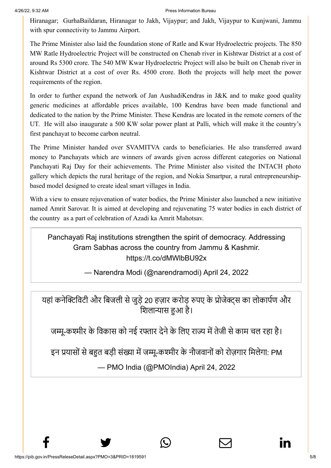[Hiranagar;](http://www.facebook.com/share.php?u=https://pib.gov.in/PressReleasePage.aspx?PRID=1819545) Gur[haBaildaran, Hiranagar](https://twitter.com/intent/tweet?url=https://pib.gov.in/PressReleasePage.aspx?PRID=1819545&text=PM%20visits%20J&K%20to%20participate%20in%20celebrations%20of%20National%20Panchayati%20Raj%20Day) [to Jakh, Vijaypur; an](https://api.whatsapp.com/send?text=https://pib.gov.in/PressReleasePage.aspx?PRID=1819545)[d Jakh, Vijaypur to K](https://mail.google.com/mail/?view=cm&fs=1&tf=1&to=&su=PM%20visits%20J&K%20to%20participate%20in%20celebrations%20of%20National%20Panchayati%20Raj%20Day&body=https://pib.gov.in/PressReleasePage.aspx?PRID=1819545&ui=2&tf=1&pli=1)[unjwani, Jammu](https://www.linkedin.com/shareArticle?mini=true&url=https://pib.gov.in/PressReleasePage.aspx?PRID=1819545&title=PM%20visits%20J&K%20to%20participate%20in%20celebrations%20of%20National%20Panchayati%20Raj%20Day&summary=My%20favorite%20developer%20program&source=LinkedIn) with spur connectivity to Jammu Airport.

The Prime Minister also laid the foundation stone of Ratle and Kwar Hydroelectric projects. The 850 MW Ratle Hydroelectric Project will be constructed on Chenab river in Kishtwar District at a cost of around Rs 5300 crore. The 540 MW Kwar Hydroelectric Project will also be built on Chenab river in Kishtwar District at a cost of over Rs. 4500 crore. Both the projects will help meet the power requirements of the region.

In order to further expand the network of Jan AushadiKendras in J&K and to make good quality generic medicines at affordable prices available, 100 Kendras have been made functional and dedicated to the nation by the Prime Minister. These Kendras are located in the remote corners of the UT. He will also inaugurate a 500 KW solar power plant at Palli, which will make it the country's first panchayat to become carbon neutral.

The Prime Minister handed over SVAMITVA cards to beneficiaries. He also transferred award money to Panchayats which are winners of awards given across different categories on National Panchayati Raj Day for their achievements. The Prime Minister also visited the INTACH photo gallery which depicts the rural heritage of the region, and Nokia Smartpur, a rural entrepreneurshipbased model designed to create ideal smart villages in India.

With a view to ensure rejuvenation of water bodies, the Prime Minister also launched a new initiative named Amrit Sarovar. It is aimed at developing and rejuvenating 75 water bodies in each district of the country as a part of celebration of Azadi ka Amrit Mahotsav.

Panchayati Raj institutions strengthen the spirit of democracy. Addressing Gram Sabhas across the country from Jammu & Kashmir. <https://t.co/dMWlbBU92x>

— Narendra Modi (@narendramodi) [April 24, 2022](https://twitter.com/narendramodi/status/1518128508190720000?ref_src=twsrc%5Etfw)

यहां कनेक्टिविटी और बिजली से जुड़े 20 हज़ार करोड़ रुपए के प्रोजेक्ट्स का लोकार्पण और शिलान्यास हुआ है।

जम्मू-कश्मीर के विकास को नई रफ्तार देने के लिए राज्य में तेजी से काम चल रहा है।

इन प्रयासों से बहुत बड़ी संख्या में जम्मू-कश्मीर के नौजवानों को रोज़गार मिलेगा: PM

— PMO India (@PMOIndia) [April 24, 2022](https://twitter.com/PMOIndia/status/1518129810941575169?ref_src=twsrc%5Etfw)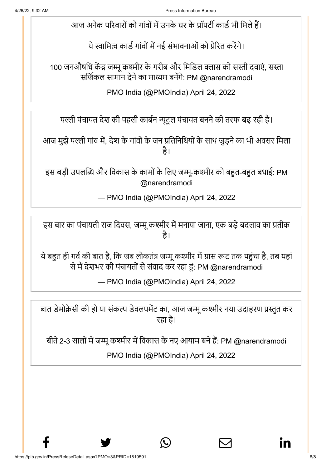आज अनेक परिवारों को गांवों में उनके घर के प्रॉपर्टी कार्ड भी मिले हैं।

ये स्वामित्व कार्ड गांवों में नई संभावनाओं को प्रेरित करेंगे।

100 जनऔषधि केंद्र जम्मू कश्मीर के गरीब और मिडिल क्लास को सस्ती दवाएं, सस्ता सर्जिकल सामान देने का माध्यम बनेंगे: PM [@narendramodi](https://twitter.com/narendramodi?ref_src=twsrc%5Etfw)

— PMO India (@PMOIndia) [April 24, 2022](https://twitter.com/PMOIndia/status/1518130028139380736?ref_src=twsrc%5Etfw)

पल्ली पंचायत देश की पहली कार्बन न्यूट्रल पंचायत बनने की तरफ बढ़ रही है।

आज मुझे पल्ली गांव में, देश के गांवों के जन प्रतिनिधियों के साथ जुड़ने का भी अवसर मिला है।

इस बड़ी उपलब्धि और विकास के कामों के लिए जम्मू-कश्मीर को बहुत-बहुत बधाई: PM [@narendramodi](https://twitter.com/narendramodi?ref_src=twsrc%5Etfw)

— PMO India (@PMOIndia) [April 24, 2022](https://twitter.com/PMOIndia/status/1518130367190147072?ref_src=twsrc%5Etfw)

इस बार का पंचायती राज दिवस, जम्मू कश्मीर में मनाया जाना, एक बड़े बदलाव का प्रतीक है।

ये बहुत ही गर्व की बात है, कि जब लोकतंत्र जम्मू कश्मीर में ग्रास रूट तक पहुंचा है, तब यहां से मैं देशभर की पंचायतों से संवाद कर रहा हूं: PM [@narendramodi](https://twitter.com/narendramodi?ref_src=twsrc%5Etfw)

— PMO India (@PMOIndia) [April 24, 2022](https://twitter.com/PMOIndia/status/1518131186887176192?ref_src=twsrc%5Etfw)

बात डेमोक्रेसी की हो या संकल्प डेवलपमेंट का, आज जम्मू कश्मीर नया उदाहरण प्रस्तुत कर रहा है।

बीते 2-3 सालों में जम्मू कश्मीर में विकास के नए आयाम बने हैं: PM [@narendramodi](https://twitter.com/narendramodi?ref_src=twsrc%5Etfw)

— PMO India (@PMOIndia) [April 24, 2022](https://twitter.com/PMOIndia/status/1518131840519131136?ref_src=twsrc%5Etfw)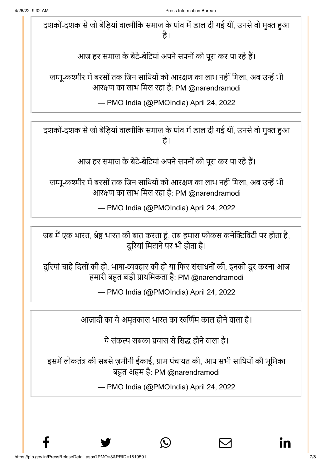दशकों-दशक से जो बेड़ियां वाल्मीकि समाज के पांव में डाल दी गई थीं, उनसे वो मुक्त हुआ है।

आज हर समाज के बेटे-बेटियां अपने सपनों को पूरा कर पा रहे हैं।

जम्मू-कश्मीर में बरसों तक जिन साथियों को आरक्षण का लाभ नहीं मिला, अब उन्हें भी आरक्षण का लाभ मिल रहा है: PM [@narendramodi](https://twitter.com/narendramodi?ref_src=twsrc%5Etfw)

— PMO India (@PMOIndia) [April 24, 2022](https://twitter.com/PMOIndia/status/1518132062569771008?ref_src=twsrc%5Etfw)

दशकों-दशक से जो बेड़ियां वाल्मीकि समाज के पांव में डाल दी गई थीं, उनसे वो मुक्त हुआ है।

आज हर समाज के बेटे-बेटियां अपने सपनों को पूरा कर पा रहे हैं।

जम्मू-कश्मीर में बरसों तक जिन साथियों को आरक्षण का लाभ नहीं मिला, अब उन्हें भी आरक्षण का लाभ मिल रहा है: PM [@narendramodi](https://twitter.com/narendramodi?ref_src=twsrc%5Etfw)

— PMO India (@PMOIndia) [April 24, 2022](https://twitter.com/PMOIndia/status/1518132062569771008?ref_src=twsrc%5Etfw)

जब मैं एक भारत, श्रेष्ठ भारत की बात करता हूं, तब हमारा फोकस कनेक्टिविटी पर होता है, दूरियां मिटाने पर भी होता है।

दूरियां चाहे दिलों की हो, भाषा-व्यवहार की हो या फिर संसाधनों की, इनको दूर करना आज हमारी बहुत बड़ी प्राथमिकता है: PM [@narendramodi](https://twitter.com/narendramodi?ref_src=twsrc%5Etfw)

— PMO India (@PMOIndia) [April 24, 2022](https://twitter.com/PMOIndia/status/1518133820297744384?ref_src=twsrc%5Etfw)

आज़ादी का ये अमृतकाल भारत का स्वर्णिम काल होने वाला है।

ये संकल्प सबका प्रयास से सिद्ध होने वाला है।

इसमें लोकतंत्र की सबसे ज़मीनी ईकाई, ग्राम पंचायत की, आप सभी साथियों की भूमिका बहुत अहम है: PM [@narendramodi](https://twitter.com/narendramodi?ref_src=twsrc%5Etfw)

— PMO India (@PMOIndia) [April 24, 2022](https://twitter.com/PMOIndia/status/1518135233438449664?ref_src=twsrc%5Etfw)